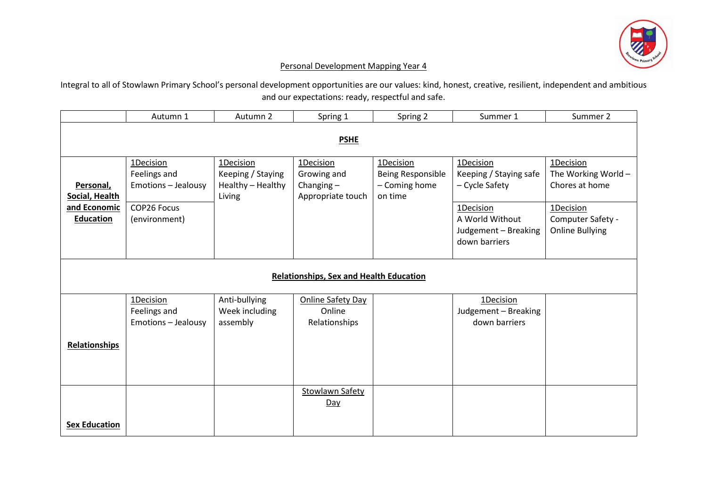

## Personal Development Mapping Year 4

Integral to all of Stowlawn Primary School's personal development opportunities are our values: kind, honest, creative, resilient, independent and ambitious and our expectations: ready, respectful and safe.

|                                                                 | Autumn 1                                                                                | Autumn 2                                                      | Spring 1                                                      | Spring 2                                                   | Summer 1                                                                                                                       | Summer 2                                                                                                       |  |  |
|-----------------------------------------------------------------|-----------------------------------------------------------------------------------------|---------------------------------------------------------------|---------------------------------------------------------------|------------------------------------------------------------|--------------------------------------------------------------------------------------------------------------------------------|----------------------------------------------------------------------------------------------------------------|--|--|
| <b>PSHE</b>                                                     |                                                                                         |                                                               |                                                               |                                                            |                                                                                                                                |                                                                                                                |  |  |
| Personal,<br>Social, Health<br>and Economic<br><b>Education</b> | 1Decision<br>Feelings and<br><b>Emotions - Jealousy</b><br>COP26 Focus<br>(environment) | 1Decision<br>Keeping / Staying<br>Healthy - Healthy<br>Living | 1Decision<br>Growing and<br>Changing $-$<br>Appropriate touch | 1Decision<br>Being Responsible<br>- Coming home<br>on time | 1Decision<br>Keeping / Staying safe<br>- Cycle Safety<br>1Decision<br>A World Without<br>Judgement - Breaking<br>down barriers | 1Decision<br>The Working World -<br>Chores at home<br>1Decision<br>Computer Safety -<br><b>Online Bullying</b> |  |  |
| <b>Relationships, Sex and Health Education</b>                  |                                                                                         |                                                               |                                                               |                                                            |                                                                                                                                |                                                                                                                |  |  |
| <b>Relationships</b>                                            | 1Decision<br>Feelings and<br>Emotions - Jealousy                                        | Anti-bullying<br>Week including<br>assembly                   | <b>Online Safety Day</b><br>Online<br>Relationships           |                                                            | 1Decision<br>Judgement - Breaking<br>down barriers                                                                             |                                                                                                                |  |  |
| <b>Sex Education</b>                                            |                                                                                         |                                                               | <b>Stowlawn Safety</b><br>Day                                 |                                                            |                                                                                                                                |                                                                                                                |  |  |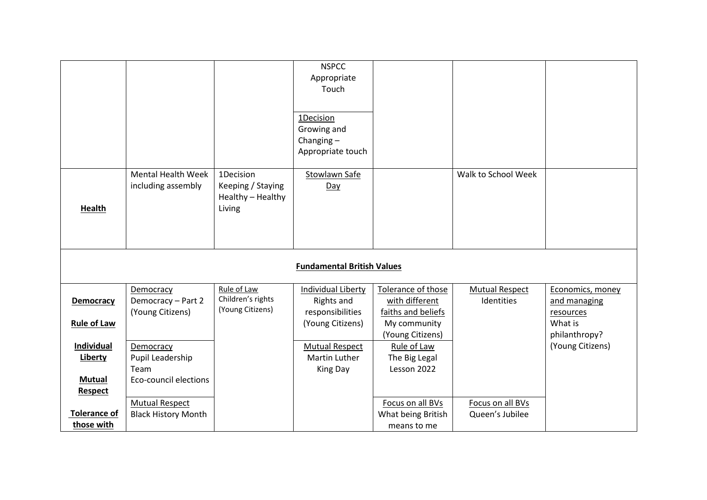|                                   |                            |                   | <b>NSPCC</b>              |                    |                       |                  |  |  |
|-----------------------------------|----------------------------|-------------------|---------------------------|--------------------|-----------------------|------------------|--|--|
|                                   |                            |                   | Appropriate               |                    |                       |                  |  |  |
|                                   |                            |                   | Touch                     |                    |                       |                  |  |  |
|                                   |                            |                   |                           |                    |                       |                  |  |  |
|                                   |                            |                   | 1Decision                 |                    |                       |                  |  |  |
|                                   |                            |                   | Growing and               |                    |                       |                  |  |  |
|                                   |                            |                   | Changing $-$              |                    |                       |                  |  |  |
|                                   |                            |                   | Appropriate touch         |                    |                       |                  |  |  |
|                                   |                            |                   |                           |                    |                       |                  |  |  |
|                                   | <b>Mental Health Week</b>  | 1Decision         | <b>Stowlawn Safe</b>      |                    | Walk to School Week   |                  |  |  |
|                                   | including assembly         | Keeping / Staying | Day                       |                    |                       |                  |  |  |
|                                   |                            | Healthy - Healthy |                           |                    |                       |                  |  |  |
| Health                            |                            | Living            |                           |                    |                       |                  |  |  |
|                                   |                            |                   |                           |                    |                       |                  |  |  |
|                                   |                            |                   |                           |                    |                       |                  |  |  |
|                                   |                            |                   |                           |                    |                       |                  |  |  |
| <b>Fundamental British Values</b> |                            |                   |                           |                    |                       |                  |  |  |
|                                   |                            |                   |                           |                    |                       |                  |  |  |
|                                   | Democracy                  | Rule of Law       | <b>Individual Liberty</b> | Tolerance of those | <b>Mutual Respect</b> | Economics, money |  |  |
| Democracy                         | Democracy - Part 2         | Children's rights | <b>Rights and</b>         | with different     | Identities            | and managing     |  |  |
|                                   | (Young Citizens)           | (Young Citizens)  | responsibilities          | faiths and beliefs |                       | resources        |  |  |
| <b>Rule of Law</b>                |                            |                   | (Young Citizens)          | My community       |                       | What is          |  |  |
|                                   |                            |                   |                           | (Young Citizens)   |                       | philanthropy?    |  |  |
| Individual                        | Democracy                  |                   | <b>Mutual Respect</b>     | Rule of Law        |                       | (Young Citizens) |  |  |
| Liberty                           | Pupil Leadership           |                   | <b>Martin Luther</b>      | The Big Legal      |                       |                  |  |  |
|                                   | Team                       |                   | King Day                  | Lesson 2022        |                       |                  |  |  |
| <b>Mutual</b>                     | Eco-council elections      |                   |                           |                    |                       |                  |  |  |
| <b>Respect</b>                    |                            |                   |                           |                    |                       |                  |  |  |
|                                   | <b>Mutual Respect</b>      |                   |                           | Focus on all BVs   | Focus on all BVs      |                  |  |  |
| <b>Tolerance of</b>               | <b>Black History Month</b> |                   |                           | What being British | Queen's Jubilee       |                  |  |  |
| those with                        |                            |                   |                           | means to me        |                       |                  |  |  |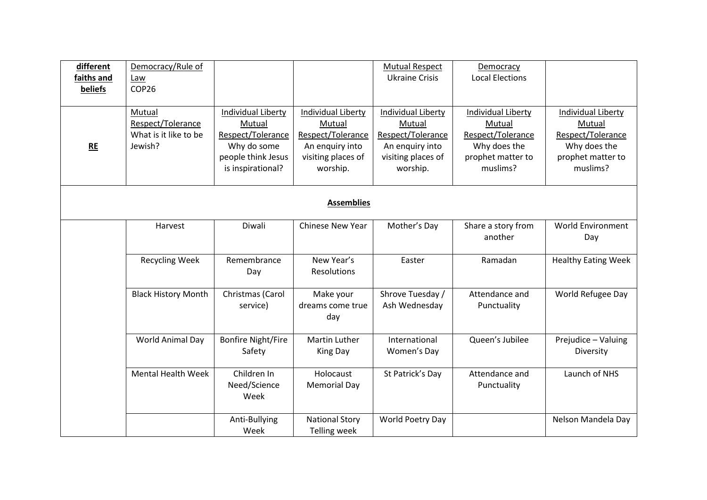| different  | Democracy/Rule of          |                           |                           | <b>Mutual Respect</b>     | Democracy                 |                            |
|------------|----------------------------|---------------------------|---------------------------|---------------------------|---------------------------|----------------------------|
| faiths and | Law                        |                           |                           | <b>Ukraine Crisis</b>     | <b>Local Elections</b>    |                            |
| beliefs    | COP26                      |                           |                           |                           |                           |                            |
|            |                            |                           |                           |                           |                           |                            |
|            | Mutual                     | Individual Liberty        | <b>Individual Liberty</b> | <b>Individual Liberty</b> | <b>Individual Liberty</b> | <b>Individual Liberty</b>  |
|            | Respect/Tolerance          | Mutual                    | Mutual                    | Mutual                    | Mutual                    | Mutual                     |
|            | What is it like to be      | Respect/Tolerance         | Respect/Tolerance         | Respect/Tolerance         | Respect/Tolerance         | Respect/Tolerance          |
| RE         | Jewish?                    | Why do some               | An enquiry into           | An enquiry into           | Why does the              | Why does the               |
|            |                            | people think Jesus        | visiting places of        | visiting places of        | prophet matter to         | prophet matter to          |
|            |                            | is inspirational?         | worship.                  | worship.                  | muslims?                  | muslims?                   |
|            |                            |                           |                           |                           |                           |                            |
|            |                            |                           | <b>Assemblies</b>         |                           |                           |                            |
|            |                            |                           |                           |                           |                           |                            |
|            | Harvest                    | Diwali                    | Chinese New Year          | Mother's Day              | Share a story from        | <b>World Environment</b>   |
|            |                            |                           |                           |                           | another                   | Day                        |
|            |                            |                           |                           |                           |                           |                            |
|            | <b>Recycling Week</b>      | Remembrance               | New Year's                | Easter                    | Ramadan                   | <b>Healthy Eating Week</b> |
|            |                            | Day                       | <b>Resolutions</b>        |                           |                           |                            |
|            |                            |                           |                           |                           |                           |                            |
|            | <b>Black History Month</b> | Christmas (Carol          | Make your                 | Shrove Tuesday /          | Attendance and            | World Refugee Day          |
|            |                            | service)                  | dreams come true          | Ash Wednesday             | Punctuality               |                            |
|            |                            |                           | day                       |                           |                           |                            |
|            |                            |                           |                           |                           |                           |                            |
|            | World Animal Day           | <b>Bonfire Night/Fire</b> | <b>Martin Luther</b>      | International             | Queen's Jubilee           | Prejudice - Valuing        |
|            |                            | Safety                    | King Day                  | Women's Day               |                           | Diversity                  |
|            |                            |                           |                           |                           |                           |                            |
|            | <b>Mental Health Week</b>  | Children In               | Holocaust                 | St Patrick's Day          | Attendance and            | Launch of NHS              |
|            |                            | Need/Science              | <b>Memorial Day</b>       |                           | Punctuality               |                            |
|            |                            | Week                      |                           |                           |                           |                            |
|            |                            |                           |                           |                           |                           |                            |
|            |                            | Anti-Bullying             | <b>National Story</b>     | World Poetry Day          |                           | Nelson Mandela Day         |
|            |                            | Week                      | <b>Telling week</b>       |                           |                           |                            |